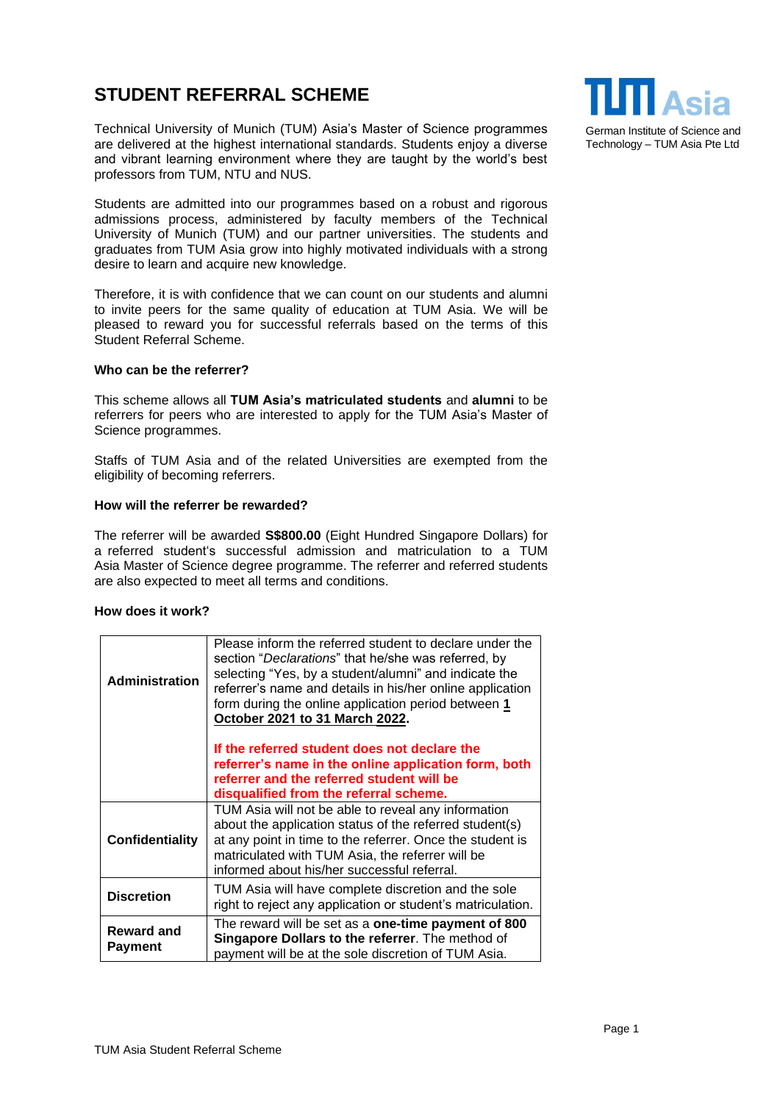## **STUDENT REFERRAL SCHEME**

Technical University of Munich (TUM) Asia's Master of Science programmes are delivered at the highest international standards. Students enjoy a diverse and vibrant learning environment where they are taught by the world's best professors from TUM, NTU and NUS.

Students are admitted into our programmes based on a robust and rigorous admissions process, administered by faculty members of the Technical University of Munich (TUM) and our partner universities. The students and graduates from TUM Asia grow into highly motivated individuals with a strong desire to learn and acquire new knowledge.

Therefore, it is with confidence that we can count on our students and alumni to invite peers for the same quality of education at TUM Asia. We will be pleased to reward you for successful referrals based on the terms of this Student Referral Scheme.

## **Who can be the referrer?**

This scheme allows all **TUM Asia's matriculated students** and **alumni** to be referrers for peers who are interested to apply for the TUM Asia's Master of Science programmes.

Staffs of TUM Asia and of the related Universities are exempted from the eligibility of becoming referrers.

## **How will the referrer be rewarded?**

The referrer will be awarded **S\$800.00** (Eight Hundred Singapore Dollars) for a referred student's successful admission and matriculation to a TUM Asia Master of Science degree programme. The referrer and referred students are also expected to meet all terms and conditions.

## **How does it work?**

| <b>Administration</b>               | Please inform the referred student to declare under the<br>section "Declarations" that he/she was referred, by<br>selecting "Yes, by a student/alumni" and indicate the<br>referrer's name and details in his/her online application<br>form during the online application period between 1<br>October 2021 to 31 March 2022. |
|-------------------------------------|-------------------------------------------------------------------------------------------------------------------------------------------------------------------------------------------------------------------------------------------------------------------------------------------------------------------------------|
|                                     | If the referred student does not declare the<br>referrer's name in the online application form, both<br>referrer and the referred student will be<br>disqualified from the referral scheme.                                                                                                                                   |
| Confidentiality                     | TUM Asia will not be able to reveal any information<br>about the application status of the referred student(s)<br>at any point in time to the referrer. Once the student is<br>matriculated with TUM Asia, the referrer will be<br>informed about his/her successful referral.                                                |
| <b>Discretion</b>                   | TUM Asia will have complete discretion and the sole<br>right to reject any application or student's matriculation.                                                                                                                                                                                                            |
| <b>Reward and</b><br><b>Payment</b> | The reward will be set as a <b>one-time payment of 800</b><br>Singapore Dollars to the referrer. The method of<br>payment will be at the sole discretion of TUM Asia.                                                                                                                                                         |